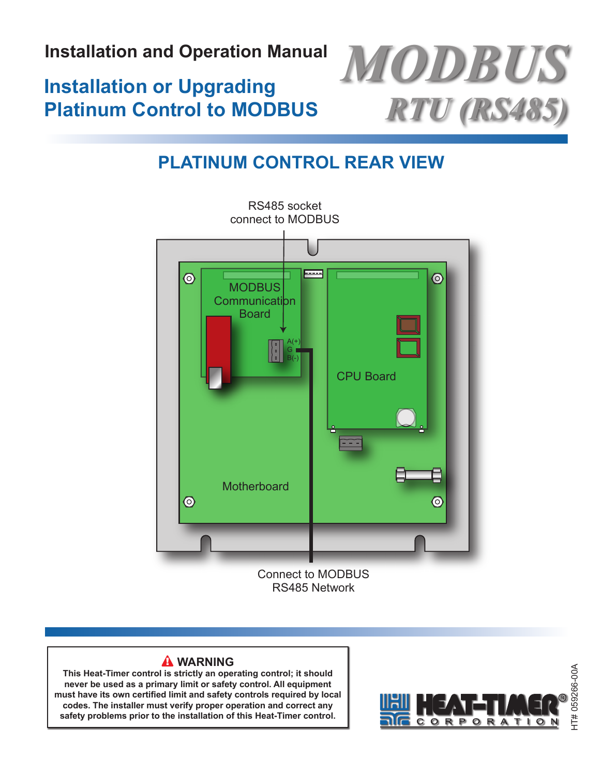**Installation and Operation Manual**

# **Installation or Upgrading Platinum Control to MODBUS**



# <span id="page-0-0"></span>**PlaTInUM Panel COnneCTeD TO MODBUS neTWOrK PlaTInUM COnTrOl rear VIeW**



### **WarnIng**

**This Heat-Timer control is strictly an operating control; it should never be used as a primary limit or safety control. all equipment must have its own certified limit and safety controls required by local codes. The installer must verify proper operation and correct any safety problems prior to the installation of this Heat-Timer control.**

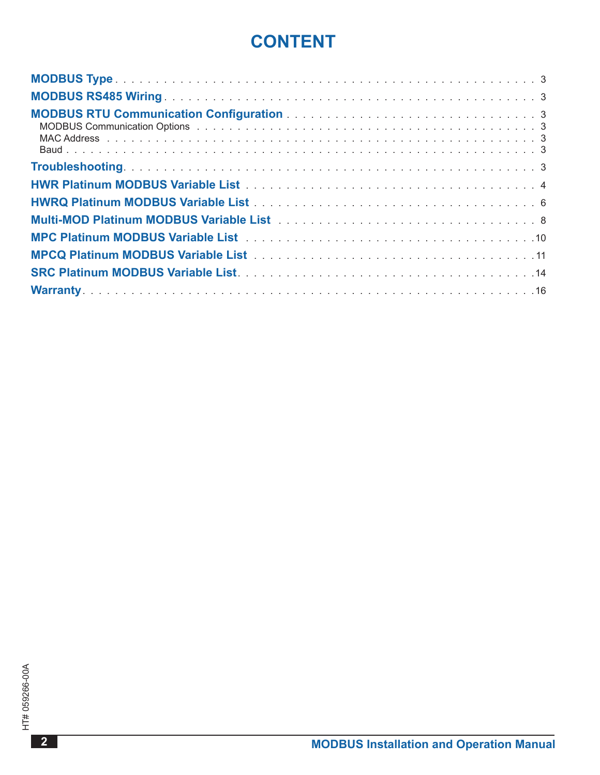## **COnTenT**

| MODBUS Communication Options (and a series of the series of the series of the series of the series of the series of the series of the series of the series of the series of the series of the series of the series of the seri |  |
|--------------------------------------------------------------------------------------------------------------------------------------------------------------------------------------------------------------------------------|--|
|                                                                                                                                                                                                                                |  |
|                                                                                                                                                                                                                                |  |
|                                                                                                                                                                                                                                |  |
|                                                                                                                                                                                                                                |  |
|                                                                                                                                                                                                                                |  |
|                                                                                                                                                                                                                                |  |
|                                                                                                                                                                                                                                |  |
|                                                                                                                                                                                                                                |  |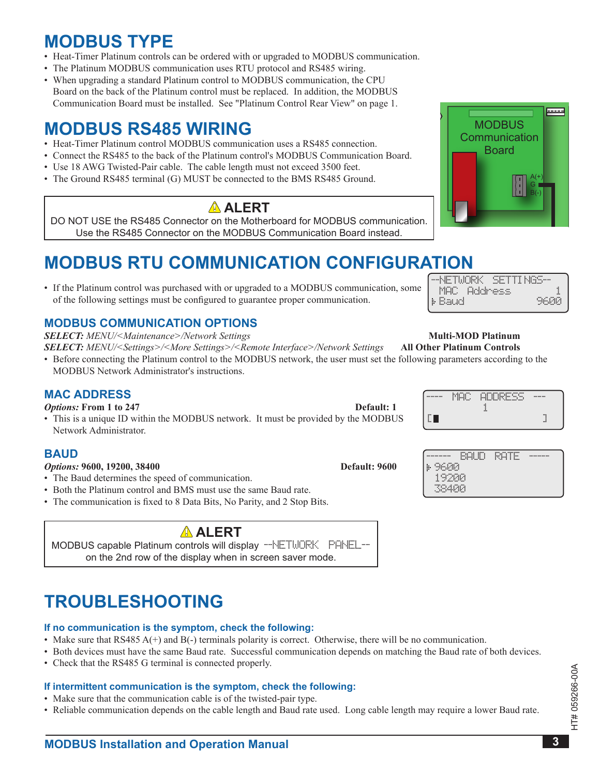### <span id="page-2-0"></span>**MODBUS TyPe**

- Heat-Timer Platinum controls can be ordered with or upgraded to MODBUS communication.
- The Platinum MODBUS communication uses RTU protocol and RS485 wiring.
- When upgrading a standard Platinum control to MODBUS communication, the CPU Board on the back of the Platinum control must be replaced. In addition, the MODBUS Communication Board must be installed. See "Platinum Control Rear View" on page 1.

### **MODBUS rS485 WIrIng**

- Heat-Timer Platinum control MODBUS communication uses a RS485 connection.
- Connect the RS485 to the back of the Platinum control's MODBUS Communication Board.
- Use 18 AWG Twisted-Pair cable. The cable length must not exceed 3500 feet.
- The Ground RS485 terminal (G) MUST be connected to the BMS RS485 Ground.

### **alerT**

DO NOT USE the RS485 Connector on the Motherboard for MODBUS communication . Use the RS485 Connector on the MODBUS Communication Board instead .

# **MODBUS rTU COMMUnICaTIOn COnfIgUraTIOn**

• If the Platinum control was purchased with or upgraded to a MODBUS communication, some of the following settings must be configured to guarantee proper communication.

### **MODBUS COMMUnICaTIOn OPTIOnS**

*SELECT: MENU/<Maintenance>/Network Settings* **Multi-MOD Platinum**

*SELECT: MENU/<Settings>/<More Settings>/<Remote Interface>/Network Settings* **All Other Platinum Controls**

• Before connecting the Platinum control to the MODBUS network, the user must set the following parameters according to the MODBUS Network Administrator's instructions.

### **MaC aDDreSS**

#### *Options:* **From 1 to 247 <b>Default:** 1

• This is a unique ID within the MODBUS network. It must be provided by the MODBUS Network Administrator.

#### **BaUD**

*Options:* **9600, 19200, 38400 <b>Default:** 9600

- The Baud determines the speed of communication.
- Both the Platinum control and BMS must use the same Baud rate.
- The communication is fixed to 8 Data Bits, No Parity, and 2 Stop Bits.

### **alerT**

MODBUS capable Platinum controls will display --NETWORK PANEL-on the 2nd row of the display when in screen saver mode .

# **TrOUBleSHOOTIng**

#### **If no communication is the symptom, check the following:**

- Make sure that RS485  $A(+)$  and  $B(-)$  terminals polarity is correct. Otherwise, there will be no communication.
- Both devices must have the same Baud rate. Successful communication depends on matching the Baud rate of both devices.
- Check that the RS485 G terminal is connected properly.

#### **If intermittent communication is the symptom, check the following:**

- Make sure that the communication cable is of the twisted-pair type.
- Reliable communication depends on the cable length and Baud rate used. Long cable length may require a lower Baud rate.



| -NETWORK SETTINGS- |       |
|--------------------|-------|
| MAC Address        |       |
| <b>I</b> - Baud    | 96.44 |
|                    |       |

| ----------                | $-$<br><br>$-$<br>٠<br>$\cdots$<br> | $\cdot$<br><br>$\cdots$<br><b>SEARCH SARA</b><br>٠<br><br><br><br> | ------   |
|---------------------------|-------------------------------------|--------------------------------------------------------------------|----------|
| $\cdots$                  |                                     | <br>$\cdots$                                                       | $\cdots$ |
| $\mathbf{L}_{\mathbf{L}}$ |                                     |                                                                    | $\cdots$ |

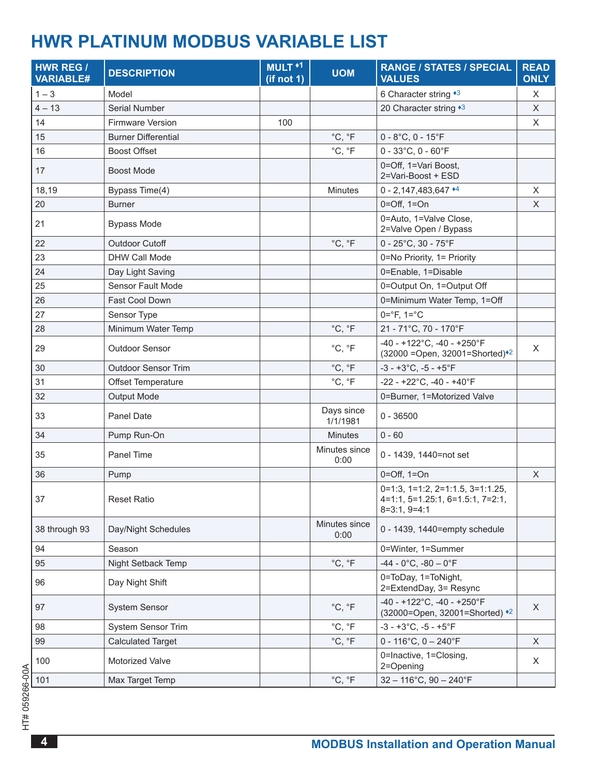### <span id="page-3-0"></span>**HWr PlaTInUM MODBUS VarIaBle lIST**

| <b>HWR REG /</b><br><b>VARIABLE#</b> | <b>DESCRIPTION</b>         | MULT <sup>+1</sup><br>(if not 1) | <b>UOM</b>             | <b>RANGE / STATES / SPECIAL</b><br><b>VALUES</b>                                               | <b>READ</b><br><b>ONLY</b> |
|--------------------------------------|----------------------------|----------------------------------|------------------------|------------------------------------------------------------------------------------------------|----------------------------|
| $1 - 3$                              | Model                      |                                  |                        | 6 Character string *3                                                                          | X                          |
| $4 - 13$                             | Serial Number              |                                  |                        | 20 Character string *3                                                                         | $\times$                   |
| 14                                   | Firmware Version           | 100                              |                        |                                                                                                | X                          |
| 15                                   | <b>Burner Differential</b> |                                  | °C, °F                 | $0 - 8$ °C, 0 - 15°F                                                                           |                            |
| 16                                   | <b>Boost Offset</b>        |                                  | °C, °F                 | $0 - 33^{\circ}$ C, $0 - 60^{\circ}$ F                                                         |                            |
| 17                                   | <b>Boost Mode</b>          |                                  |                        | 0=Off, 1=Vari Boost,<br>2=Vari-Boost + ESD                                                     |                            |
| 18,19                                | Bypass Time(4)             |                                  | <b>Minutes</b>         | $0 - 2,147,483,647$ <sup>+4</sup>                                                              | $\times$                   |
| 20                                   | <b>Burner</b>              |                                  |                        | $0=Off, 1=On$                                                                                  | X                          |
| 21                                   | <b>Bypass Mode</b>         |                                  |                        | 0=Auto, 1=Valve Close,<br>2=Valve Open / Bypass                                                |                            |
| 22                                   | <b>Outdoor Cutoff</b>      |                                  | °C, °F                 | $0 - 25^{\circ}$ C, 30 - 75 $^{\circ}$ F                                                       |                            |
| 23                                   | DHW Call Mode              |                                  |                        | 0=No Priority, 1= Priority                                                                     |                            |
| 24                                   | Day Light Saving           |                                  |                        | 0=Enable, 1=Disable                                                                            |                            |
| 25                                   | Sensor Fault Mode          |                                  |                        | 0=Output On, 1=Output Off                                                                      |                            |
| 26                                   | <b>Fast Cool Down</b>      |                                  |                        | 0=Minimum Water Temp, 1=Off                                                                    |                            |
| 27                                   | Sensor Type                |                                  |                        | $0 = ^{\circ}F$ , $1 = ^{\circ}C$                                                              |                            |
| 28                                   | Minimum Water Temp         |                                  | °C, °F                 | 21 - 71°C, 70 - 170°F                                                                          |                            |
| 29                                   | Outdoor Sensor             |                                  | °C, °F                 | $-40 - +122^{\circ}C$ , $-40 - +250^{\circ}F$<br>(32000 = Open, 32001 = Shorted) <sup>*2</sup> | X                          |
| 30                                   | <b>Outdoor Sensor Trim</b> |                                  | $^{\circ}C, ^{\circ}F$ | $-3 - +3$ °C, $-5 - +5$ °F                                                                     |                            |
| 31                                   | Offset Temperature         |                                  | °C, °F                 | $-22 - +22^{\circ}C$ , $-40 - +40^{\circ}F$                                                    |                            |
| 32                                   | Output Mode                |                                  |                        | 0=Burner, 1=Motorized Valve                                                                    |                            |
| 33                                   | Panel Date                 |                                  | Days since<br>1/1/1981 | $0 - 36500$                                                                                    |                            |
| 34                                   | Pump Run-On                |                                  | <b>Minutes</b>         | $0 - 60$                                                                                       |                            |
| 35                                   | Panel Time                 |                                  | Minutes since<br>0:00  | 0 - 1439, 1440=not set                                                                         |                            |
| 36                                   | Pump                       |                                  |                        | $0=Off, 1=On$                                                                                  | $\mathsf X$                |
| 37                                   | <b>Reset Ratio</b>         |                                  |                        | $0=1:3, 1=1:2, 2=1:1.5, 3=1:1.25,$<br>$4=1:1, 5=1.25:1, 6=1.5:1, 7=2:1,$<br>$8=3:1, 9=4:1$     |                            |
| 38 through 93                        | Day/Night Schedules        |                                  | Minutes since<br>0:00  | 0 - 1439, 1440=empty schedule                                                                  |                            |
| 94                                   | Season                     |                                  |                        | 0=Winter, 1=Summer                                                                             |                            |
| 95                                   | Night Setback Temp         |                                  | °C, °F                 | $-44 - 0$ °C, $-80 - 0$ °F                                                                     |                            |
| 96                                   | Day Night Shift            |                                  |                        | 0=ToDay, 1=ToNight,<br>2=ExtendDay, 3= Resync                                                  |                            |
| 97                                   | System Sensor              |                                  | °C, °F                 | $-40 - +122$ °C, $-40 - +250$ °F<br>(32000=Open, 32001=Shorted) *2                             | X                          |
| 98                                   | System Sensor Trim         |                                  | °C, °F                 | $-3 - +3$ °C, $-5 - +5$ °F                                                                     |                            |
| 99                                   | <b>Calculated Target</b>   |                                  | °C, °F                 | $0 - 116^{\circ}$ C, $0 - 240^{\circ}$ F                                                       | X                          |
| 100                                  | Motorized Valve            |                                  |                        | 0=Inactive, 1=Closing,<br>2=Opening                                                            | X                          |
| 101                                  | Max Target Temp            |                                  | °C, °F                 | $32 - 116^{\circ}$ C, 90 - 240 $^{\circ}$ F                                                    |                            |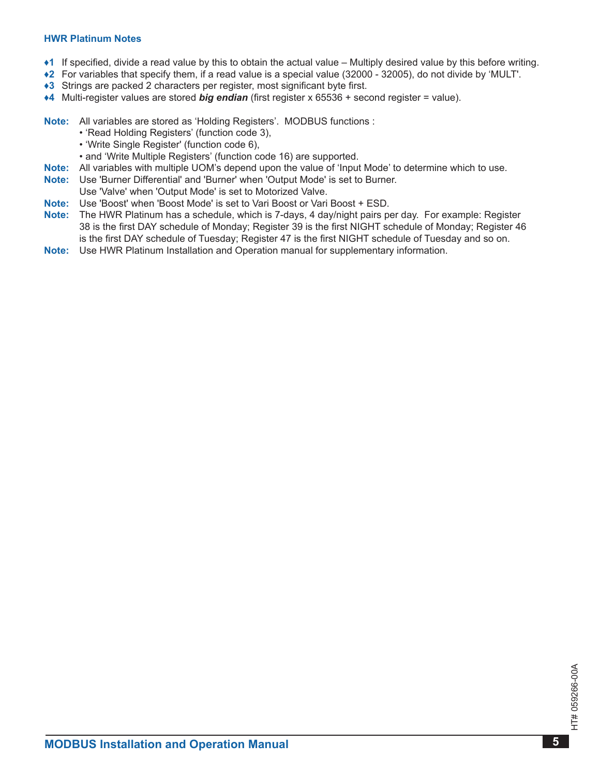#### **HWR Platinum Notes**

- <span id="page-4-0"></span>**♦1** If specified, divide a read value by this to obtain the actual value – Multiply desired value by this before writing .
- <span id="page-4-3"></span>**♦2** For variables that specify them, if a read value is a special value (32000 - 32005), do not divide by 'MULT' .
- <span id="page-4-1"></span>◆3 Strings are packed 2 characters per register, most significant byte first.
- <span id="page-4-2"></span>**♦4** Multi-register values are stored *big endian* (first register x 65536 + second register = value) .

**Note:** All variables are stored as 'Holding Registers'. MODBUS functions :

- 'Read Holding Registers' (function code 3),
- 'Write Single Register' (function code 6),
- and 'Write Multiple Registers' (function code 16) are supported .
- **note:** All variables with multiple UOM's depend upon the value of 'Input Mode' to determine which to use .
- **note:** Use 'Burner Differential' and 'Burner' when 'Output Mode' is set to Burner .
- Use 'Valve' when 'Output Mode' is set to Motorized Valve.
- **Note:** Use 'Boost' when 'Boost Mode' is set to Vari Boost or Vari Boost + ESD.
- **note:** The HWR Platinum has a schedule, which is 7-days, 4 day/night pairs per day . For example: Register 38 is the first DAY schedule of Monday; Register 39 is the first NIGHT schedule of Monday; Register 46 is the first DAY schedule of Tuesday; Register 47 is the first NIGHT schedule of Tuesday and so on .
- **note:** Use HWR Platinum Installation and Operation manual for supplementary information .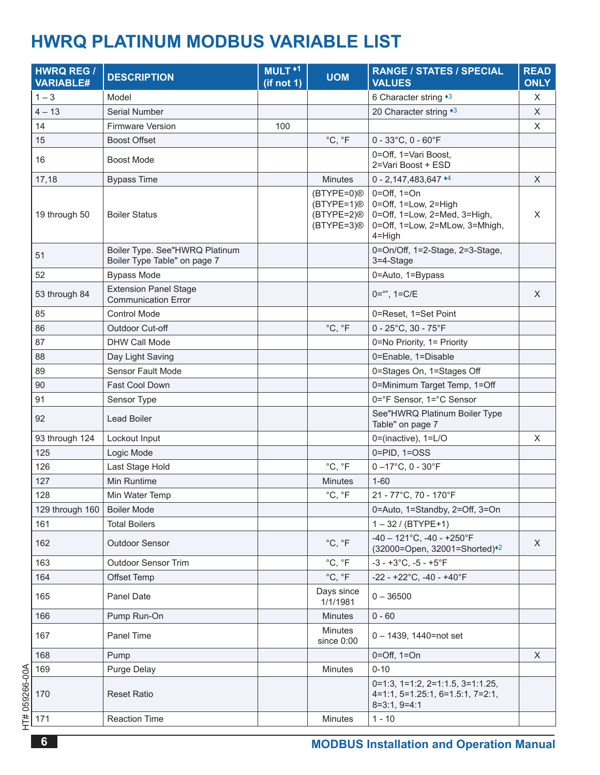## <span id="page-5-0"></span>**HWrQ PlaTInUM MODBUS VarIaBle lIST**

| <b>HWRQ REG /</b><br><b>VARIABLE#</b> | <b>DESCRIPTION</b>                                             | MULT <sup>+1</sup><br>(if not 1) | <b>UOM</b>                                                                                   | <b>RANGE / STATES / SPECIAL</b><br><b>VALUES</b>                                                                      | <b>READ</b><br><b>ONLY</b> |
|---------------------------------------|----------------------------------------------------------------|----------------------------------|----------------------------------------------------------------------------------------------|-----------------------------------------------------------------------------------------------------------------------|----------------------------|
| $1 - 3$                               | Model                                                          |                                  |                                                                                              | 6 Character string *3                                                                                                 | X                          |
| $4 - 13$                              | Serial Number                                                  |                                  |                                                                                              | 20 Character string *3                                                                                                | X                          |
| 14                                    | Firmware Version                                               | 100                              |                                                                                              |                                                                                                                       | X                          |
| 15                                    | <b>Boost Offset</b>                                            |                                  | °C, °F                                                                                       | $0 - 33^{\circ}$ C, $0 - 60^{\circ}$ F                                                                                |                            |
| 16                                    | <b>Boost Mode</b>                                              |                                  |                                                                                              | 0=Off, 1=Vari Boost,<br>2=Vari Boost + ESD                                                                            |                            |
| 17,18                                 | <b>Bypass Time</b>                                             |                                  | <b>Minutes</b>                                                                               | $0 - 2,147,483,647$ <sup>*4</sup>                                                                                     | X                          |
| 19 through 50                         | <b>Boiler Status</b>                                           |                                  | (BTYPE=0) <sup>®</sup><br>$(BTYPE=1)$ <sup>®</sup><br>$(BTYPE=2)$ <sup>®</sup><br>(BTYPE=3)® | $0=Off, 1=On$<br>0=Off, 1=Low, 2=High<br>0=Off, 1=Low, 2=Med, 3=High,<br>0=Off, 1=Low, 2=MLow, 3=Mhigh,<br>$4 =$ High | X                          |
| 51                                    | Boiler Type. See"HWRQ Platinum<br>Boiler Type Table" on page 7 |                                  |                                                                                              | 0=On/Off, 1=2-Stage, 2=3-Stage,<br>3=4-Stage                                                                          |                            |
| 52                                    | <b>Bypass Mode</b>                                             |                                  |                                                                                              | 0=Auto, 1=Bypass                                                                                                      |                            |
| 53 through 84                         | <b>Extension Panel Stage</b><br><b>Communication Error</b>     |                                  |                                                                                              | $0 =$ "", $1 = C/E$                                                                                                   | X                          |
| 85                                    | <b>Control Mode</b>                                            |                                  |                                                                                              | 0=Reset, 1=Set Point                                                                                                  |                            |
| 86                                    | Outdoor Cut-off                                                |                                  | °C, °F                                                                                       | $0 - 25^{\circ}$ C, 30 - 75 $^{\circ}$ F                                                                              |                            |
| 87                                    | <b>DHW Call Mode</b>                                           |                                  |                                                                                              | 0=No Priority, 1= Priority                                                                                            |                            |
| 88                                    | Day Light Saving                                               |                                  |                                                                                              | 0=Enable, 1=Disable                                                                                                   |                            |
| 89                                    | <b>Sensor Fault Mode</b>                                       |                                  |                                                                                              | 0=Stages On, 1=Stages Off                                                                                             |                            |
| 90                                    | Fast Cool Down                                                 |                                  |                                                                                              | 0=Minimum Target Temp, 1=Off                                                                                          |                            |
| 91                                    | Sensor Type                                                    |                                  |                                                                                              | 0=°F Sensor, 1=°C Sensor                                                                                              |                            |
| 92                                    | Lead Boiler                                                    |                                  |                                                                                              | See"HWRQ Platinum Boiler Type<br>Table" on page 7                                                                     |                            |
| 93 through 124                        | Lockout Input                                                  |                                  |                                                                                              | 0=(inactive), 1=L/O                                                                                                   | X                          |
| 125                                   | Logic Mode                                                     |                                  |                                                                                              | $0 = PID$ , $1 = OSS$                                                                                                 |                            |
| 126                                   | Last Stage Hold                                                |                                  | °C, °F                                                                                       | $0 - 17^{\circ}$ C, 0 - 30 $^{\circ}$ F                                                                               |                            |
| 127                                   | Min Runtime                                                    |                                  | <b>Minutes</b>                                                                               | $1 - 60$                                                                                                              |                            |
| 128                                   | Min Water Temp                                                 |                                  | °C, °F                                                                                       | 21 - 77°C, 70 - 170°F                                                                                                 |                            |
| 129 through 160                       | <b>Boiler Mode</b>                                             |                                  |                                                                                              | 0=Auto, 1=Standby, 2=Off, 3=On                                                                                        |                            |
| 161                                   | <b>Total Boilers</b>                                           |                                  |                                                                                              | $1 - 32 / (BTYPE+1)$                                                                                                  |                            |
| 162                                   | <b>Outdoor Sensor</b>                                          |                                  | °C, °F                                                                                       | $-40 - 121^{\circ}$ C, $-40 - +250^{\circ}$ F<br>(32000=Open, 32001=Shorted)*2                                        | X                          |
| 163                                   | <b>Outdoor Sensor Trim</b>                                     |                                  | °C, °F                                                                                       | $-3 - +3$ °C, $-5 - +5$ °F                                                                                            |                            |
| 164                                   | Offset Temp                                                    |                                  | °C, °F                                                                                       | $-22 - +22^{\circ}C$ , $-40 - +40^{\circ}F$                                                                           |                            |
| 165                                   | Panel Date                                                     |                                  | Days since<br>1/1/1981                                                                       | $0 - 36500$                                                                                                           |                            |
| 166                                   | Pump Run-On                                                    |                                  | <b>Minutes</b>                                                                               | $0 - 60$                                                                                                              |                            |
| 167                                   | Panel Time                                                     |                                  | <b>Minutes</b><br>since 0:00                                                                 | $0 - 1439$ , 1440=not set                                                                                             |                            |
| 168                                   | Pump                                                           |                                  |                                                                                              | $0 = \text{Off}, 1 = \text{On}$                                                                                       | X                          |
| 169                                   | <b>Purge Delay</b>                                             |                                  | <b>Minutes</b>                                                                               | $0 - 10$                                                                                                              |                            |
| 170                                   | <b>Reset Ratio</b>                                             |                                  |                                                                                              | $0=1:3, 1=1:2, 2=1:1.5, 3=1:1.25,$<br>4=1:1, 5=1.25:1, 6=1.5:1, 7=2:1,<br>$8=3:1, 9=4:1$                              |                            |
| 171                                   | <b>Reaction Time</b>                                           |                                  | Minutes                                                                                      | $1 - 10$                                                                                                              |                            |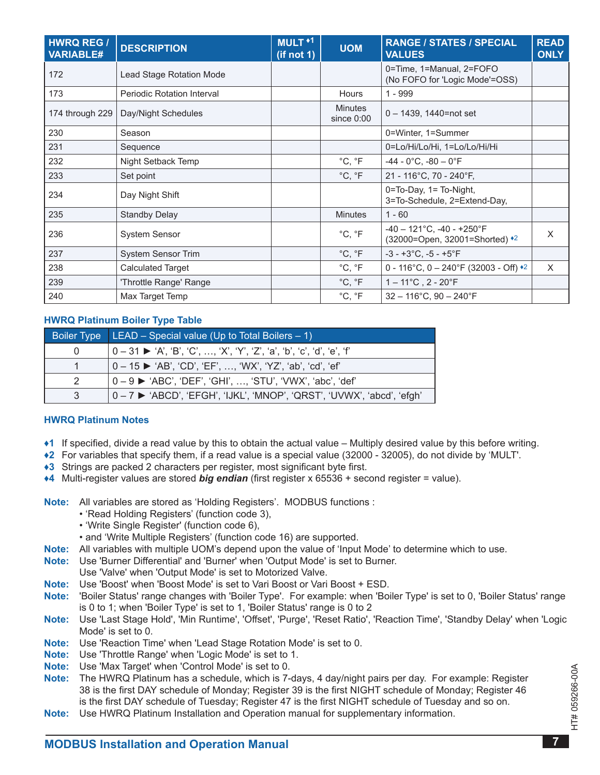| <b>HWRQ REG /</b><br><b>VARIABLE#</b> | <b>DESCRIPTION</b>                | MULT <sup>+1</sup><br>(if not 1) | <b>UOM</b>                     | <b>RANGE / STATES / SPECIAL</b><br><b>VALUES</b>                  | <b>READ</b><br><b>ONLY</b> |
|---------------------------------------|-----------------------------------|----------------------------------|--------------------------------|-------------------------------------------------------------------|----------------------------|
| 172                                   | Lead Stage Rotation Mode          |                                  |                                | 0=Time, 1=Manual, 2=FOFO<br>(No FOFO for 'Logic Mode'=OSS)        |                            |
| 173                                   | <b>Periodic Rotation Interval</b> |                                  | <b>Hours</b>                   | $1 - 999$                                                         |                            |
| 174 through 229                       | Day/Night Schedules               |                                  | <b>Minutes</b><br>since $0:00$ | $0 - 1439$ , 1440=not set                                         |                            |
| 230                                   | Season                            |                                  |                                | 0=Winter, 1=Summer                                                |                            |
| 231                                   | Sequence                          |                                  |                                | 0=Lo/Hi/Lo/Hi, 1=Lo/Lo/Hi/Hi                                      |                            |
| 232                                   | Night Setback Temp                |                                  | °C, °F                         | $-44 - 0$ °C, $-80 - 0$ °F                                        |                            |
| 233                                   | Set point                         |                                  | °C, °F                         | 21 - 116°C, 70 - 240°F,                                           |                            |
| 234                                   | Day Night Shift                   |                                  |                                | 0=To-Day, 1= To-Night,<br>3=To-Schedule, 2=Extend-Day,            |                            |
| 235                                   | <b>Standby Delay</b>              |                                  | <b>Minutes</b>                 | $1 - 60$                                                          |                            |
| 236                                   | <b>System Sensor</b>              |                                  | °C, °F                         | $-40 - 121$ °C, $-40 - +250$ °F<br>(32000=Open, 32001=Shorted) *2 | X                          |
| 237                                   | <b>System Sensor Trim</b>         |                                  | °C, °F                         | $-3 - +3$ °C, $-5 - +5$ °F                                        |                            |
| 238                                   | <b>Calculated Target</b>          |                                  | $^{\circ}C, ^{\circ}F$         | 0 - 116°C, 0 - 240°F (32003 - Off) $*$ <sup>2</sup>               | $\times$                   |
| 239                                   | 'Throttle Range' Range            |                                  | $^{\circ}$ C, $^{\circ}$ F     | $1 - 11^{\circ}C$ , 2 - 20 $^{\circ}F$                            |                            |
| 240                                   | Max Target Temp                   |                                  | $^{\circ}$ C, $^{\circ}$ F     | $32 - 116^{\circ}$ C, 90 - 240 $^{\circ}$ F                       |                            |

#### <span id="page-6-3"></span>**HWrQ Platinum Boiler Type Table**

|               | Boiler Type $LEAD - Special value (Up to Total Boilers - 1)$           |
|---------------|------------------------------------------------------------------------|
|               | 0 – 31 ▶ 'A', 'B', 'C', …, 'X', 'Y', 'Z', 'a', 'b', 'c', 'd', 'e', 'f' |
|               | 0 – 15 ► 'AB', 'CD', 'EF', …, 'WX', 'YZ', 'ab', 'cd', 'ef'             |
| $\mathcal{P}$ | 0 – 9 ▶ 'ABC', 'DEF', 'GHI', , 'STU', 'VWX', 'abc', 'def'              |
|               | 0-7 ► 'ABCD', 'EFGH', 'IJKL', 'MNOP', 'QRST', 'UVWX', 'abcd', 'efgh'   |

#### **HWrQ Platinum notes**

- <span id="page-6-0"></span>**♦1** If specified, divide a read value by this to obtain the actual value – Multiply desired value by this before writing .
- <span id="page-6-4"></span>**♦2** For variables that specify them, if a read value is a special value (32000 - 32005), do not divide by 'MULT' .
- <span id="page-6-1"></span>◆3 Strings are packed 2 characters per register, most significant byte first.
- <span id="page-6-2"></span>**♦4** Multi-register values are stored *big endian* (first register x 65536 + second register = value) .

**Note:** All variables are stored as 'Holding Registers'. MODBUS functions :

- 'Read Holding Registers' (function code 3),
- 'Write Single Register' (function code 6),
- and 'Write Multiple Registers' (function code 16) are supported .
- **note:** All variables with multiple UOM's depend upon the value of 'Input Mode' to determine which to use .
- **note:** Use 'Burner Differential' and 'Burner' when 'Output Mode' is set to Burner .
- Use 'Valve' when 'Output Mode' is set to Motorized Valve.
- **Note:** Use 'Boost' when 'Boost Mode' is set to Vari Boost or Vari Boost + ESD.
- **note:** 'Boiler Status' range changes with 'Boiler Type' . For example: when 'Boiler Type' is set to 0, 'Boiler Status' range is 0 to 1; when 'Boiler Type' is set to 1, 'Boiler Status' range is 0 to 2
- **note:** Use 'Last Stage Hold', 'Min Runtime', 'Offset', 'Purge', 'Reset Ratio', 'Reaction Time', 'Standby Delay' when 'Logic Mode' is set to 0.
- **note:** Use 'Reaction Time' when 'Lead Stage Rotation Mode' is set to 0 .
- **Note:** Use 'Throttle Range' when 'Logic Mode' is set to 1.
- **note:** Use 'Max Target' when 'Control Mode' is set to 0 .
- **note:** The HWRQ Platinum has a schedule, which is 7-days, 4 day/night pairs per day . For example: Register 38 is the first DAY schedule of Monday; Register 39 is the first NIGHT schedule of Monday; Register 46 is the first DAY schedule of Tuesday; Register 47 is the first NIGHT schedule of Tuesday and so on .
- **note:** Use HWRQ Platinum Installation and Operation manual for supplementary information .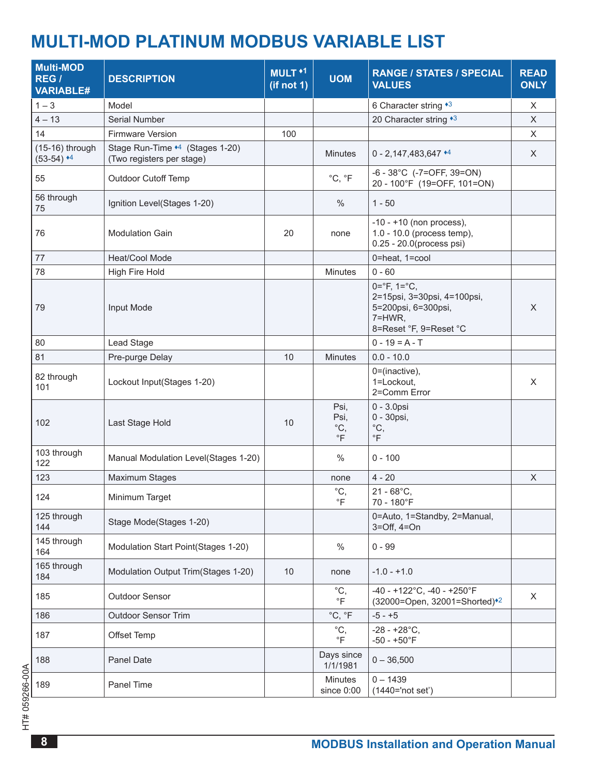# <span id="page-7-0"></span>**MUlTI-MOD PlaTInUM MODBUS VarIaBle lIST**

| <b>Multi-MOD</b><br>REG /<br><b>VARIABLE#</b> | <b>DESCRIPTION</b>                                           | MULT <sup>+1</sup><br>(if not 1) | <b>UOM</b>                                | <b>RANGE / STATES / SPECIAL</b><br><b>VALUES</b>                                                                              | <b>READ</b><br><b>ONLY</b> |
|-----------------------------------------------|--------------------------------------------------------------|----------------------------------|-------------------------------------------|-------------------------------------------------------------------------------------------------------------------------------|----------------------------|
| $1 - 3$                                       | Model                                                        |                                  |                                           | 6 Character string *3                                                                                                         | X                          |
| $4 - 13$                                      | Serial Number                                                |                                  |                                           | 20 Character string *3                                                                                                        | $\mathsf X$                |
| 14                                            | Firmware Version                                             | 100                              |                                           |                                                                                                                               | X                          |
| $(15-16)$ through<br>$(53-54)$ <sup>+4</sup>  | Stage Run-Time *4 (Stages 1-20)<br>(Two registers per stage) |                                  | <b>Minutes</b>                            | $0 - 2,147,483,647$ <sup>*4</sup>                                                                                             | X                          |
| 55                                            | <b>Outdoor Cutoff Temp</b>                                   |                                  | °C, °F                                    | $-6 - 38^{\circ}$ C (-7=OFF, 39=ON)<br>20 - 100°F (19=OFF, 101=ON)                                                            |                            |
| 56 through<br>75                              | Ignition Level(Stages 1-20)                                  |                                  | $\frac{0}{0}$                             | $1 - 50$                                                                                                                      |                            |
| 76                                            | <b>Modulation Gain</b>                                       | 20                               | none                                      | $-10 - +10$ (non process),<br>1.0 - 10.0 (process temp),<br>0.25 - 20.0(process psi)                                          |                            |
| $77 \,$                                       | Heat/Cool Mode                                               |                                  |                                           | 0=heat, 1=cool                                                                                                                |                            |
| 78                                            | High Fire Hold                                               |                                  | <b>Minutes</b>                            | $0 - 60$                                                                                                                      |                            |
| 79                                            | Input Mode                                                   |                                  |                                           | $0 = ^{\circ}F$ , $1 = ^{\circ}C$ ,<br>2=15psi, 3=30psi, 4=100psi,<br>5=200psi, 6=300psi,<br>7=HWR,<br>8=Reset °F, 9=Reset °C | X                          |
| 80                                            | Lead Stage                                                   |                                  |                                           | $0 - 19 = A - T$                                                                                                              |                            |
| 81                                            | Pre-purge Delay                                              | 10                               | <b>Minutes</b>                            | $0.0 - 10.0$                                                                                                                  |                            |
| 82 through<br>101                             | Lockout Input(Stages 1-20)                                   |                                  |                                           | $0 = (inactive),$<br>1=Lockout,<br>2=Comm Error                                                                               | X                          |
| 102                                           | Last Stage Hold                                              | 10                               | Psi,<br>Psi,<br>$^{\circ}C,$<br>$\circ$ F | $0 - 3.0$ psi<br>0 - 30psi,<br>$^{\circ}C,$<br>$\circ$ F                                                                      |                            |
| 103 through<br>122                            | Manual Modulation Level(Stages 1-20)                         |                                  | $\%$                                      | $0 - 100$                                                                                                                     |                            |
| 123                                           | Maximum Stages                                               |                                  | none                                      | $4 - 20$                                                                                                                      | $\mathsf X$                |
| 124                                           | Minimum Target                                               |                                  | $^{\circ}C,$<br>$\mathsf{P}$              | $21 - 68^{\circ}$ C,<br>70 - 180°F                                                                                            |                            |
| 125 through<br>144                            | Stage Mode(Stages 1-20)                                      |                                  |                                           | 0=Auto, 1=Standby, 2=Manual,<br>$3=Off, 4=On$                                                                                 |                            |
| 145 through<br>164                            | Modulation Start Point(Stages 1-20)                          |                                  | $\%$                                      | $0 - 99$                                                                                                                      |                            |
| 165 through<br>184                            | Modulation Output Trim(Stages 1-20)                          | 10                               | none                                      | $-1.0 - +1.0$                                                                                                                 |                            |
| 185                                           | Outdoor Sensor                                               |                                  | $^{\circ}C,$<br>$\circ$ F                 | $-40 - +122^{\circ}$ C, $-40 - +250^{\circ}$ F<br>(32000=Open, 32001=Shorted)*2                                               | X                          |
| 186                                           | Outdoor Sensor Trim                                          |                                  | °C, °F                                    | $-5 - +5$                                                                                                                     |                            |
| 187                                           | Offset Temp                                                  |                                  | $^{\circ}C,$<br>$\circ$ F                 | $-28 - +28$ °C,<br>$-50 - +50$ °F                                                                                             |                            |
| 188                                           | Panel Date                                                   |                                  | Days since<br>1/1/1981                    | $0 - 36,500$                                                                                                                  |                            |
| 189                                           | Panel Time                                                   |                                  | <b>Minutes</b><br>since 0:00              | $0 - 1439$<br>(1440='not set')                                                                                                |                            |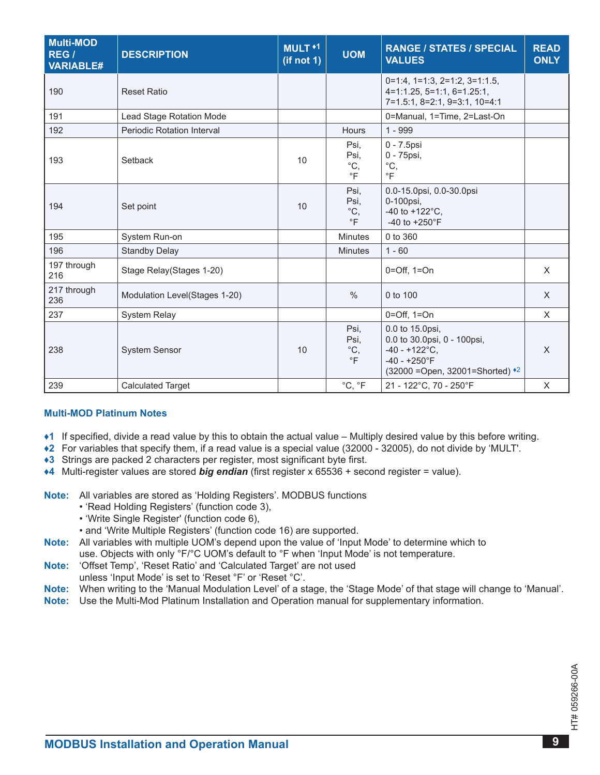| <b>Multi-MOD</b><br>REG /<br><b>VARIABLE#</b> | <b>DESCRIPTION</b>                | MULT <sup>+1</sup><br>(if not 1) | <b>UOM</b>                                         | <b>RANGE / STATES / SPECIAL</b><br><b>VALUES</b>                                                                                   | <b>READ</b><br><b>ONLY</b> |
|-----------------------------------------------|-----------------------------------|----------------------------------|----------------------------------------------------|------------------------------------------------------------------------------------------------------------------------------------|----------------------------|
| 190                                           | <b>Reset Ratio</b>                |                                  |                                                    | $0=1:4$ , $1=1:3$ , $2=1:2$ , $3=1:1.5$ ,<br>$4=1:1.25, 5=1:1, 6=1.25:1,$<br>7=1.5:1, 8=2:1, 9=3:1, 10=4:1                         |                            |
| 191                                           | Lead Stage Rotation Mode          |                                  |                                                    | 0=Manual, 1=Time, 2=Last-On                                                                                                        |                            |
| 192                                           | <b>Periodic Rotation Interval</b> |                                  | <b>Hours</b>                                       | $1 - 999$                                                                                                                          |                            |
| 193                                           | Setback                           | 10                               | Psi,<br>Psi,<br>$^{\circ}{\rm C},$<br>$\circ$ F    | 0 - 7.5psi<br>0 - 75psi,<br>$^{\circ}C,$<br>$\circ$ F                                                                              |                            |
| 194                                           | Set point                         | 10                               | Psi,<br>Psi,<br>$\mathrm{^{\circ}C},$<br>$\circ$ F | 0.0-15.0psi, 0.0-30.0psi<br>0-100psi,<br>-40 to +122 $^{\circ}$ C,<br>-40 to $+250^{\circ}$ F                                      |                            |
| 195                                           | System Run-on                     |                                  | <b>Minutes</b>                                     | 0 to 360                                                                                                                           |                            |
| 196                                           | <b>Standby Delay</b>              |                                  | <b>Minutes</b>                                     | $1 - 60$                                                                                                                           |                            |
| 197 through<br>216                            | Stage Relay(Stages 1-20)          |                                  |                                                    | $0=Off, 1=On$                                                                                                                      | X                          |
| 217 through<br>236                            | Modulation Level(Stages 1-20)     |                                  | $\%$                                               | 0 to 100                                                                                                                           | X                          |
| 237                                           | <b>System Relay</b>               |                                  |                                                    | $0=Off, 1=On$                                                                                                                      | $\mathsf{X}$               |
| 238                                           | <b>System Sensor</b>              | 10                               | Psi,<br>Psi,<br>$^{\circ}C,$<br>$\circ$ F          | 0.0 to 15.0psi,<br>0.0 to 30.0psi, 0 - 100psi,<br>$-40 - +122^{\circ}C$ ,<br>$-40 - +250$ °F<br>(32000 = Open, 32001 = Shorted) *2 | X                          |
| 239                                           | <b>Calculated Target</b>          |                                  | $^{\circ}C, ^{\circ}F$                             | 21 - 122°C, 70 - 250°F                                                                                                             | $\boldsymbol{\mathsf{X}}$  |

#### **Multi-MOD Platinum notes**

- <span id="page-8-0"></span>**♦1** If specified, divide a read value by this to obtain the actual value – Multiply desired value by this before writing .
- <span id="page-8-3"></span>**♦2** For variables that specify them, if a read value is a special value (32000 - 32005), do not divide by 'MULT' .
- <span id="page-8-1"></span>◆3 Strings are packed 2 characters per register, most significant byte first.
- <span id="page-8-2"></span>◆4 Multi-register values are stored *big endian* (first register x 65536 + second register = value).

**note:** All variables are stored as 'Holding Registers' . MODBUS functions

- 'Read Holding Registers' (function code 3),
- 'Write Single Register' (function code 6),
- and 'Write Multiple Registers' (function code 16) are supported .
- **note:** All variables with multiple UOM's depend upon the value of 'Input Mode' to determine which to use. Objects with only °F/°C UOM's default to °F when 'Input Mode' is not temperature.
- **note:** 'Offset Temp', 'Reset Ratio' and 'Calculated Target' are not used
- unless 'Input Mode' is set to 'Reset °F' or 'Reset °C' .
- **note:** When writing to the 'Manual Modulation Level' of a stage, the 'Stage Mode' of that stage will change to 'Manual' .
- **note:** Use the Multi-Mod Platinum Installation and Operation manual for supplementary information .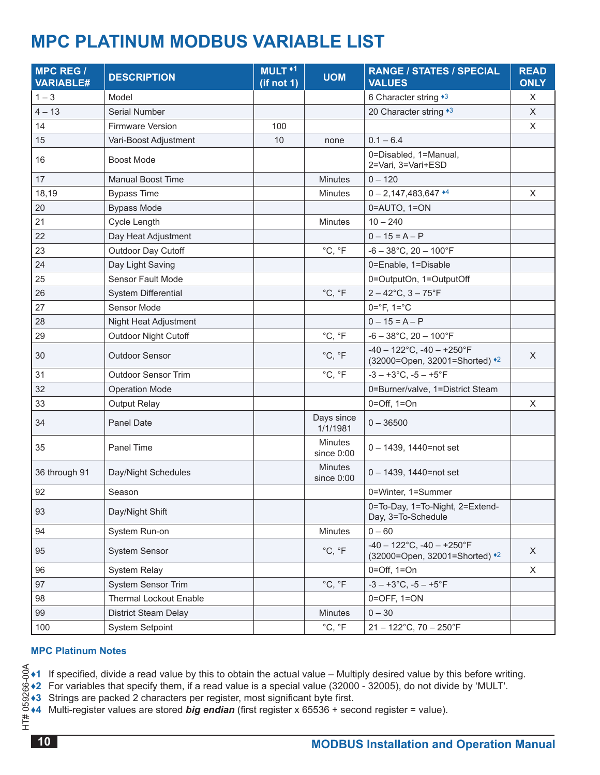### <span id="page-9-0"></span>**MPC PlaTInUM MODBUS VarIaBle lIST**

| <b>MPC REG /</b><br><b>VARIABLE#</b> | <b>DESCRIPTION</b>            | MULT <sup>+1</sup><br>(if not 1) | <b>UOM</b>                   | <b>RANGE / STATES / SPECIAL</b><br><b>VALUES</b>                  | <b>READ</b><br><b>ONLY</b> |
|--------------------------------------|-------------------------------|----------------------------------|------------------------------|-------------------------------------------------------------------|----------------------------|
| $1 - 3$                              | Model                         |                                  |                              | 6 Character string *3                                             | $\boldsymbol{\mathsf{X}}$  |
| $4 - 13$                             | Serial Number                 |                                  |                              | 20 Character string *3                                            | X                          |
| 14                                   | <b>Firmware Version</b>       | 100                              |                              |                                                                   | X                          |
| 15                                   | Vari-Boost Adjustment         | 10                               | none                         | $0.1 - 6.4$                                                       |                            |
| 16                                   | <b>Boost Mode</b>             |                                  |                              | 0=Disabled, 1=Manual,<br>2=Vari, 3=Vari+ESD                       |                            |
| 17                                   | <b>Manual Boost Time</b>      |                                  | <b>Minutes</b>               | $0 - 120$                                                         |                            |
| 18,19                                | <b>Bypass Time</b>            |                                  | <b>Minutes</b>               | $0 - 2,147,483,647$ <sup>*4</sup>                                 | X                          |
| 20                                   | <b>Bypass Mode</b>            |                                  |                              | 0=AUTO, 1=ON                                                      |                            |
| 21                                   | Cycle Length                  |                                  | <b>Minutes</b>               | $10 - 240$                                                        |                            |
| 22                                   | Day Heat Adjustment           |                                  |                              | $0 - 15 = A - P$                                                  |                            |
| 23                                   | Outdoor Day Cutoff            |                                  | °C, °F                       | $-6 - 38$ °C, 20 - 100°F                                          |                            |
| 24                                   | Day Light Saving              |                                  |                              | 0=Enable, 1=Disable                                               |                            |
| 25                                   | Sensor Fault Mode             |                                  |                              | 0=OutputOn, 1=OutputOff                                           |                            |
| 26                                   | <b>System Differential</b>    |                                  | °C, °F                       | $2 - 42^{\circ}$ C, $3 - 75^{\circ}$ F                            |                            |
| 27                                   | Sensor Mode                   |                                  |                              | $0 = ^{\circ}F$ , $1 = ^{\circ}C$                                 |                            |
| 28                                   | Night Heat Adjustment         |                                  |                              | $0 - 15 = A - P$                                                  |                            |
| 29                                   | <b>Outdoor Night Cutoff</b>   |                                  | °C, °F                       | $-6 - 38$ °C, 20 - 100°F                                          |                            |
| 30                                   | <b>Outdoor Sensor</b>         |                                  | °C, °F                       | $-40 - 122$ °C, $-40 - +250$ °F<br>(32000=Open, 32001=Shorted) *2 | $\times$                   |
| 31                                   | <b>Outdoor Sensor Trim</b>    |                                  | °C, °F                       | $-3 - +3$ °C, $-5 - +5$ °F                                        |                            |
| 32                                   | <b>Operation Mode</b>         |                                  |                              | 0=Burner/valve, 1=District Steam                                  |                            |
| 33                                   | <b>Output Relay</b>           |                                  |                              | $0=Off$ , $1=On$                                                  | $\mathsf X$                |
| 34                                   | Panel Date                    |                                  | Days since<br>1/1/1981       | $0 - 36500$                                                       |                            |
| 35                                   | Panel Time                    |                                  | <b>Minutes</b><br>since 0:00 | 0 - 1439, 1440=not set                                            |                            |
| 36 through 91                        | Day/Night Schedules           |                                  | <b>Minutes</b><br>since 0:00 | $0 - 1439$ , 1440=not set                                         |                            |
| 92                                   | Season                        |                                  |                              | 0=Winter, 1=Summer                                                |                            |
| 93                                   | Day/Night Shift               |                                  |                              | 0=To-Day, 1=To-Night, 2=Extend-<br>Day, 3=To-Schedule             |                            |
| 94                                   | System Run-on                 |                                  | <b>Minutes</b>               | $0 - 60$                                                          |                            |
| 95                                   | <b>System Sensor</b>          |                                  | °C, °F                       | $-40 - 122$ °C, $-40 - +250$ °F<br>(32000=Open, 32001=Shorted) *2 | $\mathsf{X}$               |
| 96                                   | <b>System Relay</b>           |                                  |                              | $0=Off, 1=On$                                                     | X                          |
| 97                                   | System Sensor Trim            |                                  | $^{\circ}C, ^{\circ}F$       | $-3 - +3$ °C, $-5 - +5$ °F                                        |                            |
| 98                                   | <b>Thermal Lockout Enable</b> |                                  |                              | $0=$ OFF, $1=$ ON                                                 |                            |
| 99                                   | District Steam Delay          |                                  | <b>Minutes</b>               | $0 - 30$                                                          |                            |
| 100                                  | <b>System Setpoint</b>        |                                  | °C, °F                       | $21 - 122^{\circ}$ C, 70 - 250 $^{\circ}$ F                       |                            |

#### **MPC Platinum notes**

<span id="page-9-4"></span><span id="page-9-1"></span>**♦1** If specified, divide a read value by this to obtain the actual value – Multiply desired value by this before writing .

HT# 059266-00A **♦2** For variables that specify them, if a read value is a special value (32000 - 32005), do not divide by 'MULT' .

<span id="page-9-2"></span>◆3 Strings are packed 2 characters per register, most significant byte first.

<span id="page-9-3"></span>**♦4** Multi-register values are stored *big endian* (first register x 65536 + second register = value) .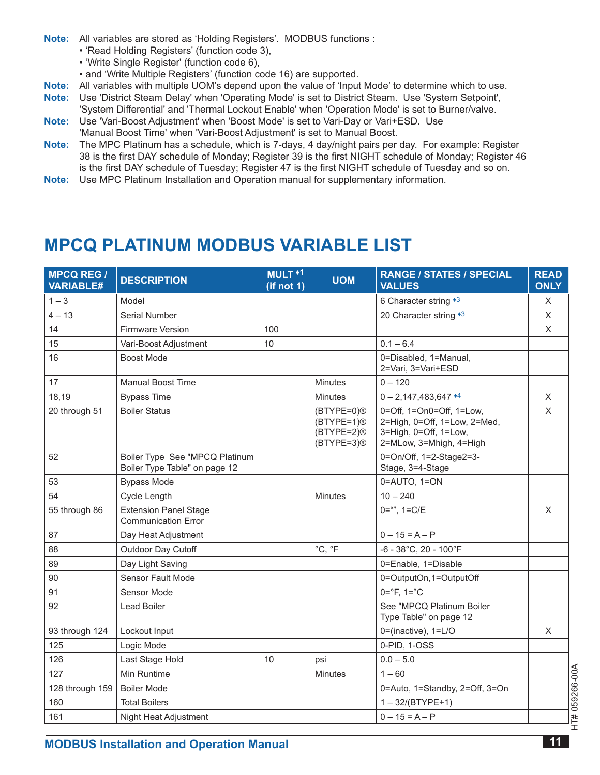- <span id="page-10-0"></span>**Note:** All variables are stored as 'Holding Registers'. MODBUS functions :
	- 'Read Holding Registers' (function code 3),
	- 'Write Single Register' (function code 6),
	- and 'Write Multiple Registers' (function code 16) are supported .
- **note:** All variables with multiple UOM's depend upon the value of 'Input Mode' to determine which to use .
- **note:** Use 'District Steam Delay' when 'Operating Mode' is set to District Steam . Use 'System Setpoint', 'System Differential' and 'Thermal Lockout Enable' when 'Operation Mode' is set to Burner/valve .
- **Note:** Use 'Vari-Boost Adjustment' when 'Boost Mode' is set to Vari-Day or Vari+ESD. Use 'Manual Boost Time' when 'Vari-Boost Adjustment' is set to Manual Boost.
- Note: The MPC Platinum has a schedule, which is 7-days, 4 day/night pairs per day. For example: Register 38 is the first DAY schedule of Monday; Register 39 is the first NIGHT schedule of Monday; Register 46 is the first DAY schedule of Tuesday; Register 47 is the first NIGHT schedule of Tuesday and so on .
- **note:** Use MPC Platinum Installation and Operation manual for supplementary information .

### **MPCQ PlaTInUM MODBUS VarIaBle lIST**

| <b>MPCQ REG /</b><br><b>VARIABLE#</b> | <b>DESCRIPTION</b>                                              | MULT <sup>+1</sup><br>(if not 1) | <b>UOM</b>                                                         | <b>RANGE / STATES / SPECIAL</b><br><b>VALUES</b>                                                             | <b>READ</b><br><b>ONLY</b> |
|---------------------------------------|-----------------------------------------------------------------|----------------------------------|--------------------------------------------------------------------|--------------------------------------------------------------------------------------------------------------|----------------------------|
| $1 - 3$                               | Model                                                           |                                  |                                                                    | 6 Character string *3                                                                                        | X                          |
| $4 - 13$                              | Serial Number                                                   |                                  |                                                                    | 20 Character string *3                                                                                       | X                          |
| 14                                    | <b>Firmware Version</b>                                         | 100                              |                                                                    |                                                                                                              | X                          |
| 15                                    | Vari-Boost Adjustment                                           | 10                               |                                                                    | $0.1 - 6.4$                                                                                                  |                            |
| 16                                    | <b>Boost Mode</b>                                               |                                  |                                                                    | 0=Disabled, 1=Manual,<br>2=Vari, 3=Vari+ESD                                                                  |                            |
| 17                                    | <b>Manual Boost Time</b>                                        |                                  | <b>Minutes</b>                                                     | $0 - 120$                                                                                                    |                            |
| 18,19                                 | <b>Bypass Time</b>                                              |                                  | <b>Minutes</b>                                                     | $0 - 2,147,483,647$ <sup>*4</sup>                                                                            | X                          |
| 20 through 51                         | <b>Boiler Status</b>                                            |                                  | (BTYPE=0)®<br>$(BTYPE=1)$ <sup>®</sup><br>(BTYPE=2)®<br>(BTYPE=3)® | 0=Off, 1=On0=Off, 1=Low,<br>2=High, 0=Off, 1=Low, 2=Med,<br>3=High, 0=Off, 1=Low,<br>2=MLow, 3=Mhigh, 4=High | X                          |
| 52                                    | Boiler Type See "MPCQ Platinum<br>Boiler Type Table" on page 12 |                                  |                                                                    | 0=On/Off, 1=2-Stage2=3-<br>Stage, 3=4-Stage                                                                  |                            |
| 53                                    | <b>Bypass Mode</b>                                              |                                  |                                                                    | 0=AUTO, 1=ON                                                                                                 |                            |
| 54                                    | Cycle Length                                                    |                                  | <b>Minutes</b>                                                     | $10 - 240$                                                                                                   |                            |
| 55 through 86                         | <b>Extension Panel Stage</b><br><b>Communication Error</b>      |                                  |                                                                    | $0 =$ "", $1 = C/E$                                                                                          | X                          |
| 87                                    | Day Heat Adjustment                                             |                                  |                                                                    | $0 - 15 = A - P$                                                                                             |                            |
| 88                                    | Outdoor Day Cutoff                                              |                                  | °C, °F                                                             | $-6 - 38^{\circ}$ C, 20 - 100 $^{\circ}$ F                                                                   |                            |
| 89                                    | Day Light Saving                                                |                                  |                                                                    | 0=Enable, 1=Disable                                                                                          |                            |
| 90                                    | Sensor Fault Mode                                               |                                  |                                                                    | 0=OutputOn,1=OutputOff                                                                                       |                            |
| 91                                    | Sensor Mode                                                     |                                  |                                                                    | $0 = ^{\circ}F$ , $1 = ^{\circ}C$                                                                            |                            |
| 92                                    | <b>Lead Boiler</b>                                              |                                  |                                                                    | See "MPCQ Platinum Boiler<br>Type Table" on page 12                                                          |                            |
| 93 through 124                        | Lockout Input                                                   |                                  |                                                                    | 0=(inactive), 1=L/O                                                                                          | X                          |
| 125                                   | Logic Mode                                                      |                                  |                                                                    | 0-PID, 1-OSS                                                                                                 |                            |
| 126                                   | Last Stage Hold                                                 | 10                               | psi                                                                | $0.0 - 5.0$                                                                                                  |                            |
| 127                                   | Min Runtime                                                     |                                  | <b>Minutes</b>                                                     | $1 - 60$                                                                                                     | 059266-00A                 |
| 128 through 159                       | <b>Boiler Mode</b>                                              |                                  |                                                                    | 0=Auto, 1=Standby, 2=Off, 3=On                                                                               |                            |
| 160                                   | <b>Total Boilers</b>                                            |                                  |                                                                    | $1 - 32 / (BTYPE + 1)$                                                                                       |                            |
| 161                                   | Night Heat Adjustment                                           |                                  |                                                                    | $0 - 15 = A - P$                                                                                             | #LH                        |

HT# 059266-00A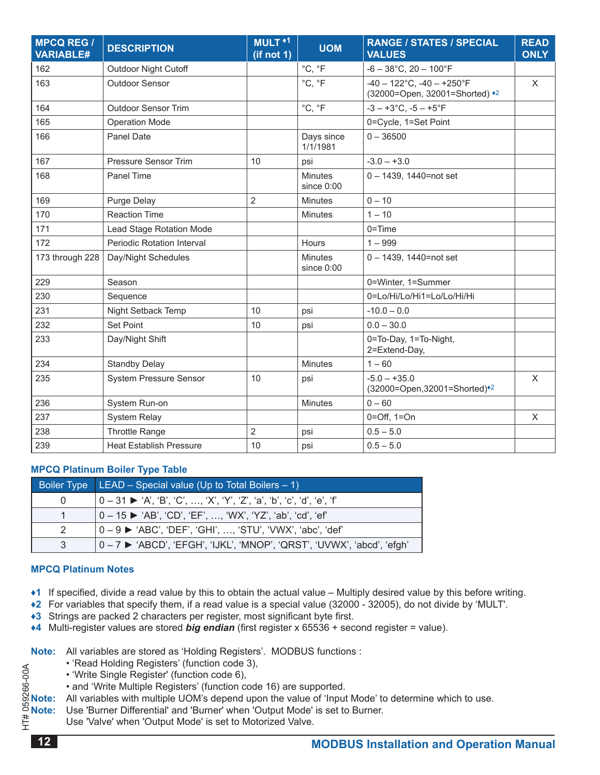| <b>MPCQ REG /</b><br><b>VARIABLE#</b> | <b>DESCRIPTION</b>             | MULT <sup>+1</sup><br>(if not 1) | <b>UOM</b>                     | <b>RANGE / STATES / SPECIAL</b><br><b>VALUES</b>                  | <b>READ</b><br><b>ONLY</b> |
|---------------------------------------|--------------------------------|----------------------------------|--------------------------------|-------------------------------------------------------------------|----------------------------|
| 162                                   | <b>Outdoor Night Cutoff</b>    |                                  | °C, °F                         | $-6 - 38$ °C, 20 - 100°F                                          |                            |
| 163                                   | <b>Outdoor Sensor</b>          |                                  | °C, °F                         | $-40 - 122$ °C, $-40 - +250$ °F<br>(32000=Open, 32001=Shorted) *2 | $\sf X$                    |
| 164                                   | <b>Outdoor Sensor Trim</b>     |                                  | °C, °F                         | $-3 - +3$ °C, $-5 - +5$ °F                                        |                            |
| 165                                   | <b>Operation Mode</b>          |                                  |                                | 0=Cycle, 1=Set Point                                              |                            |
| 166                                   | <b>Panel Date</b>              |                                  | Days since<br>1/1/1981         | $0 - 36500$                                                       |                            |
| 167                                   | Pressure Sensor Trim           | 10                               | psi                            | $-3.0 - +3.0$                                                     |                            |
| 168                                   | Panel Time                     |                                  | <b>Minutes</b><br>since $0:00$ | 0-1439, 1440=not set                                              |                            |
| 169                                   | Purge Delay                    | $\overline{2}$                   | <b>Minutes</b>                 | $0 - 10$                                                          |                            |
| 170                                   | <b>Reaction Time</b>           |                                  | <b>Minutes</b>                 | $1 - 10$                                                          |                            |
| 171                                   | Lead Stage Rotation Mode       |                                  |                                | $0 = Time$                                                        |                            |
| 172                                   | Periodic Rotation Interval     |                                  | <b>Hours</b>                   | $1 - 999$                                                         |                            |
| 173 through 228                       | Day/Night Schedules            |                                  | <b>Minutes</b><br>since $0:00$ | $0 - 1439$ , 1440=not set                                         |                            |
| 229                                   | Season                         |                                  |                                | 0=Winter, 1=Summer                                                |                            |
| 230                                   | Sequence                       |                                  |                                | 0=Lo/Hi/Lo/Hi1=Lo/Lo/Hi/Hi                                        |                            |
| 231                                   | Night Setback Temp             | 10                               | psi                            | $-10.0 - 0.0$                                                     |                            |
| 232                                   | <b>Set Point</b>               | 10                               | psi                            | $0.0 - 30.0$                                                      |                            |
| 233                                   | Day/Night Shift                |                                  |                                | 0=To-Day, 1=To-Night,<br>2=Extend-Day,                            |                            |
| 234                                   | <b>Standby Delay</b>           |                                  | <b>Minutes</b>                 | $1 - 60$                                                          |                            |
| 235                                   | <b>System Pressure Sensor</b>  | 10                               | psi                            | $-5.0 - +35.0$<br>(32000=Open, 32001=Shorted)*2                   | $\mathsf{X}$               |
| 236                                   | System Run-on                  |                                  | <b>Minutes</b>                 | $0 - 60$                                                          |                            |
| 237                                   | <b>System Relay</b>            |                                  |                                | $0=Off$ , $1=On$                                                  | X                          |
| 238                                   | <b>Throttle Range</b>          | $\overline{2}$                   | psi                            | $0.5 - 5.0$                                                       |                            |
| 239                                   | <b>Heat Establish Pressure</b> | 10                               | psi                            | $0.5 - 5.0$                                                       |                            |

#### <span id="page-11-3"></span>**MPCQ Platinum Boiler Type Table**

|               | Boiler Type $ LEAD - Special value (Up to Total Boilers - 1)$                             |  |  |  |
|---------------|-------------------------------------------------------------------------------------------|--|--|--|
| $\Omega$      | $0-31$ $\blacktriangleright$ 'A', 'B', 'C', , 'X', 'Y', 'Z', 'a', 'b', 'c', 'd', 'e', 'f' |  |  |  |
|               | 0 – 15 ► 'AB', 'CD', 'EF', …, 'WX', 'YZ', 'ab', 'cd', 'ef'                                |  |  |  |
| $\mathcal{P}$ | 0 – 9 ▶ 'ABC', 'DEF', 'GHI', , 'STU', 'VWX', 'abc', 'def'                                 |  |  |  |
| 3             | 0-7 ► 'ABCD', 'EFGH', 'IJKL', 'MNOP', 'QRST', 'UVWX', 'abcd', 'efgh'                      |  |  |  |

#### **MPCQ Platinum notes**

- <span id="page-11-0"></span>◆1 If specified, divide a read value by this to obtain the actual value – Multiply desired value by this before writing.
- <span id="page-11-4"></span>**♦2** For variables that specify them, if a read value is a special value (32000 - 32005), do not divide by 'MULT' .
- <span id="page-11-1"></span>**+3** Strings are packed 2 characters per register, most significant byte first.
- <span id="page-11-2"></span>**♦4** Multi-register values are stored *big endian* (first register x 65536 + second register = value) .

**Note:** All variables are stored as 'Holding Registers'. MODBUS functions :

- 
- 'Write Single Register' (function code 6),
- and 'Write Multiple Registers' (function code 16) are supported .

• 'Read Holding Registers' (function code 3),<br>
• 'Write Single Register' (function code 6),<br>
• and 'Write Multiple Registers' (function code<br> **8 Note:** All variables with multiple UOM's depend upo<br> **9 Note:** Use 'Burner Di **Note:** All variables with multiple UOM's depend upon the value of 'Input Mode' to determine which to use.

Use 'Burner Differential' and 'Burner' when 'Output Mode' is set to Burner.

Use 'Valve' when 'Output Mode' is set to Motorized Valve.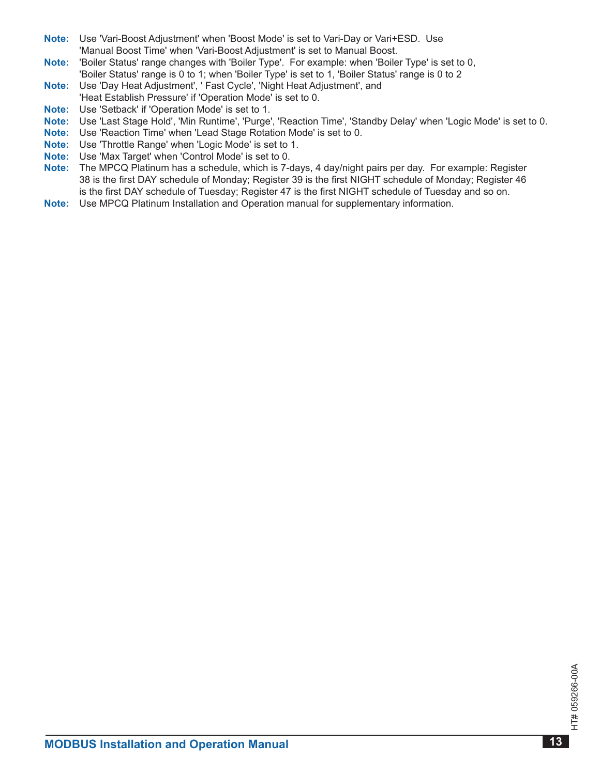- **note:** Use 'Vari-Boost Adjustment' when 'Boost Mode' is set to Vari-Day or Vari+ESD . Use 'Manual Boost Time' when 'Vari-Boost Adjustment' is set to Manual Boost .
- **note:** 'Boiler Status' range changes with 'Boiler Type' . For example: when 'Boiler Type' is set to 0, 'Boiler Status' range is 0 to 1; when 'Boiler Type' is set to 1, 'Boiler Status' range is 0 to 2
- **note:** Use 'Day Heat Adjustment', ' Fast Cycle', 'Night Heat Adjustment', and 'Heat Establish Pressure' if 'Operation Mode' is set to 0 .
- **Note:** Use 'Setback' if 'Operation Mode' is set to 1.
- **note:** Use 'Last Stage Hold', 'Min Runtime', 'Purge', 'Reaction Time', 'Standby Delay' when 'Logic Mode' is set to 0 .
- **note:** Use 'Reaction Time' when 'Lead Stage Rotation Mode' is set to 0 .
- **note:** Use 'Throttle Range' when 'Logic Mode' is set to 1 .
- **note:** Use 'Max Target' when 'Control Mode' is set to 0 .
- **note:** The MPCQ Platinum has a schedule, which is 7-days, 4 day/night pairs per day . For example: Register 38 is the first DAY schedule of Monday; Register 39 is the first NIGHT schedule of Monday; Register 46 is the first DAY schedule of Tuesday; Register 47 is the first NIGHT schedule of Tuesday and so on .
- **note:** Use MPCQ Platinum Installation and Operation manual for supplementary information .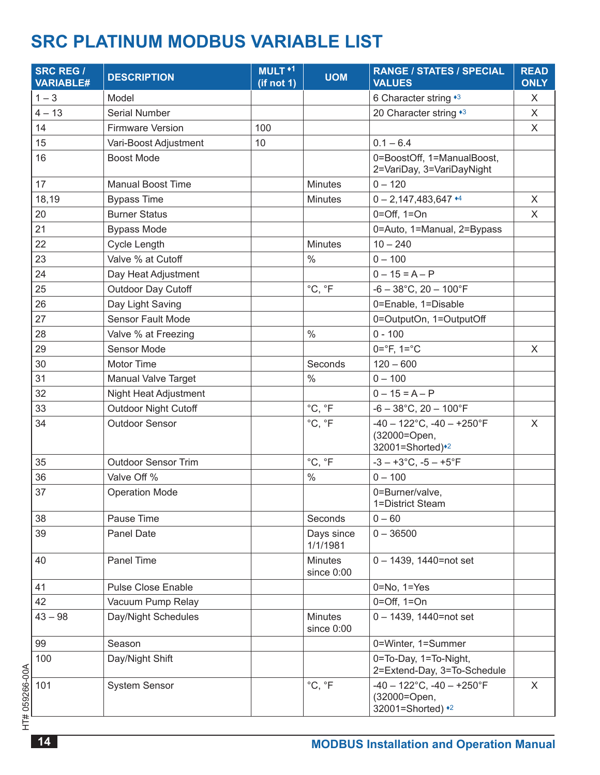## <span id="page-13-0"></span>**SRC PLATINUM MODBUS VARIABLE LIST**

| <b>SRC REG /</b><br><b>VARIABLE#</b> | <b>DESCRIPTION</b>          | MULT <sup>+1</sup><br>(if not 1) | <b>UOM</b>                   | <b>RANGE / STATES / SPECIAL</b><br><b>VALUES</b>                     | <b>READ</b><br><b>ONLY</b> |
|--------------------------------------|-----------------------------|----------------------------------|------------------------------|----------------------------------------------------------------------|----------------------------|
| $1 - 3$                              | Model                       |                                  |                              | 6 Character string *3                                                | X                          |
| $4 - 13$                             | Serial Number               |                                  |                              | 20 Character string *3                                               | X                          |
| 14                                   | <b>Firmware Version</b>     | 100                              |                              |                                                                      | X                          |
| 15                                   | Vari-Boost Adjustment       | 10                               |                              | $0.1 - 6.4$                                                          |                            |
| 16                                   | <b>Boost Mode</b>           |                                  |                              | 0=BoostOff, 1=ManualBoost,<br>2=VariDay, 3=VariDayNight              |                            |
| 17                                   | <b>Manual Boost Time</b>    |                                  | <b>Minutes</b>               | $0 - 120$                                                            |                            |
| 18,19                                | <b>Bypass Time</b>          |                                  | <b>Minutes</b>               | $0 - 2,147,483,647$ <sup>*4</sup>                                    | X                          |
| 20                                   | <b>Burner Status</b>        |                                  |                              | $0=Off, 1=On$                                                        | X                          |
| 21                                   | <b>Bypass Mode</b>          |                                  |                              | 0=Auto, 1=Manual, 2=Bypass                                           |                            |
| 22                                   | <b>Cycle Length</b>         |                                  | <b>Minutes</b>               | $10 - 240$                                                           |                            |
| 23                                   | Valve % at Cutoff           |                                  | $\frac{0}{0}$                | $0 - 100$                                                            |                            |
| 24                                   | Day Heat Adjustment         |                                  |                              | $0 - 15 = A - P$                                                     |                            |
| 25                                   | Outdoor Day Cutoff          |                                  | °C, °F                       | $-6 - 38$ °C, 20 - 100°F                                             |                            |
| 26                                   | Day Light Saving            |                                  |                              | 0=Enable, 1=Disable                                                  |                            |
| 27                                   | <b>Sensor Fault Mode</b>    |                                  |                              | 0=OutputOn, 1=OutputOff                                              |                            |
| 28                                   | Valve % at Freezing         |                                  | $\%$                         | $0 - 100$                                                            |                            |
| 29                                   | Sensor Mode                 |                                  |                              | $0 = ^{\circ}F$ , $1 = ^{\circ}C$                                    | X                          |
| 30                                   | Motor Time                  |                                  | Seconds                      | $120 - 600$                                                          |                            |
| 31                                   | Manual Valve Target         |                                  | $\%$                         | $0 - 100$                                                            |                            |
| 32                                   | Night Heat Adjustment       |                                  |                              | $0 - 15 = A - P$                                                     |                            |
| 33                                   | <b>Outdoor Night Cutoff</b> |                                  | °C, °F                       | $-6 - 38$ °C, 20 - 100°F                                             |                            |
| 34                                   | <b>Outdoor Sensor</b>       |                                  | °C, °F                       | $-40 - 122$ °C, $-40 - +250$ °F<br>(32000=Open,<br>32001=Shorted)*2  | X                          |
| 35                                   | <b>Outdoor Sensor Trim</b>  |                                  | °C, °F                       | $-3 - +3$ °C, $-5 - +5$ °F                                           |                            |
| 36                                   | Valve Off %                 |                                  | $\%$                         | $0 - 100$                                                            |                            |
| 37                                   | <b>Operation Mode</b>       |                                  |                              | 0=Burner/valve,<br>1=District Steam                                  |                            |
| 38                                   | Pause Time                  |                                  | Seconds                      | $0 - 60$                                                             |                            |
| 39                                   | <b>Panel Date</b>           |                                  | Days since<br>1/1/1981       | $0 - 36500$                                                          |                            |
| 40                                   | Panel Time                  |                                  | <b>Minutes</b><br>since 0:00 | 0-1439, 1440=not set                                                 |                            |
| 41                                   | <b>Pulse Close Enable</b>   |                                  |                              | $0 = No$ , $1 = Yes$                                                 |                            |
| 42                                   | Vacuum Pump Relay           |                                  |                              | $0=Off, 1=On$                                                        |                            |
| $43 - 98$                            | Day/Night Schedules         |                                  | <b>Minutes</b><br>since 0:00 | 0-1439, 1440=not set                                                 |                            |
| 99                                   | Season                      |                                  |                              | 0=Winter, 1=Summer                                                   |                            |
| 100                                  | Day/Night Shift             |                                  |                              | 0=To-Day, 1=To-Night,<br>2=Extend-Day, 3=To-Schedule                 |                            |
| 101                                  | <b>System Sensor</b>        |                                  | °C, °F                       | $-40 - 122$ °C, $-40 - +250$ °F<br>(32000=Open,<br>32001=Shorted) *2 | X                          |

HT# 059266-00A HT# 059266-00A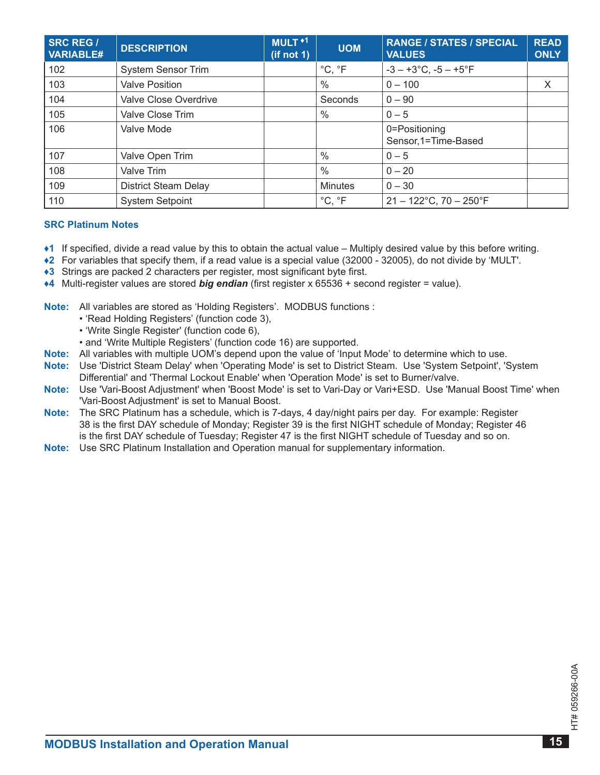| <b>SRC REG /</b><br><b>VARIABLE#</b> | <b>DESCRIPTION</b>          | MULT <sup>+1</sup><br>(if not 1) | <b>UOM</b>     | <b>RANGE / STATES / SPECIAL</b><br><b>VALUES</b> | <b>READ</b><br><b>ONLY</b> |
|--------------------------------------|-----------------------------|----------------------------------|----------------|--------------------------------------------------|----------------------------|
| 102                                  | <b>System Sensor Trim</b>   |                                  | °C, °F         | $-3 - +3$ °C, $-5 - +5$ °F                       |                            |
| 103                                  | <b>Valve Position</b>       |                                  | $\%$           | $0 - 100$                                        | X                          |
| 104                                  | Valve Close Overdrive       |                                  | Seconds        | $0 - 90$                                         |                            |
| 105                                  | Valve Close Trim            |                                  | $\%$           | $0 - 5$                                          |                            |
| 106                                  | Valve Mode                  |                                  |                | 0=Positioning<br>Sensor, 1=Time-Based            |                            |
| 107                                  | Valve Open Trim             |                                  | $\%$           | $0 - 5$                                          |                            |
| 108                                  | Valve Trim                  |                                  | $\%$           | $0 - 20$                                         |                            |
| 109                                  | <b>District Steam Delay</b> |                                  | <b>Minutes</b> | $0 - 30$                                         |                            |
| 110                                  | <b>System Setpoint</b>      |                                  | °C, °F         | $21 - 122^{\circ}$ C, 70 - 250 $^{\circ}$ F      |                            |

#### **SrC Platinum notes**

- <span id="page-14-0"></span>**♦1** If specified, divide a read value by this to obtain the actual value – Multiply desired value by this before writing .
- <span id="page-14-3"></span>**♦2** For variables that specify them, if a read value is a special value (32000 - 32005), do not divide by 'MULT' .
- <span id="page-14-1"></span>◆3 Strings are packed 2 characters per register, most significant byte first.
- <span id="page-14-2"></span>**♦4** Multi-register values are stored *big endian* (first register x 65536 + second register = value) .
- **Note:** All variables are stored as 'Holding Registers'. MODBUS functions :
	- 'Read Holding Registers' (function code 3),
	- 'Write Single Register' (function code 6),
	- and 'Write Multiple Registers' (function code 16) are supported .
- **note:** All variables with multiple UOM's depend upon the value of 'Input Mode' to determine which to use .
- **note:** Use 'District Steam Delay' when 'Operating Mode' is set to District Steam . Use 'System Setpoint', 'System Differential' and 'Thermal Lockout Enable' when 'Operation Mode' is set to Burner/valve .
- **note:** Use 'Vari-Boost Adjustment' when 'Boost Mode' is set to Vari-Day or Vari+ESD . Use 'Manual Boost Time' when 'Vari-Boost Adjustment' is set to Manual Boost.
- **note:** The SRC Platinum has a schedule, which is 7-days, 4 day/night pairs per day . For example: Register 38 is the first DAY schedule of Monday; Register 39 is the first NIGHT schedule of Monday; Register 46 is the first DAY schedule of Tuesday; Register 47 is the first NIGHT schedule of Tuesday and so on .
- **note:** Use SRC Platinum Installation and Operation manual for supplementary information .